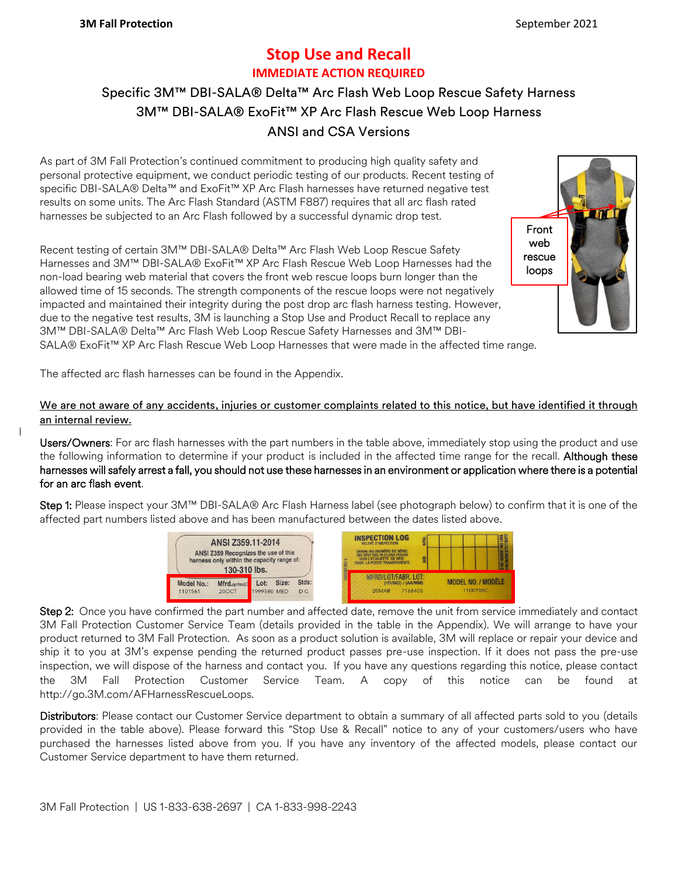## **Stop Use and Recall IMMEDIATE ACTION REQUIRED**

## Specific 3M™ DBI-SALA® Delta™ Arc Flash Web Loop Rescue Safety Harness 3M™ DBI-SALA® ExoFit™ XP Arc Flash Rescue Web Loop Harness ANSI and CSA Versions

As part of 3M Fall Protection's continued commitment to producing high quality safety and personal protective equipment, we conduct periodic testing of our products. Recent testing of specific DBI-SALA® Delta™ and ExoFit™ XP Arc Flash harnesses have returned negative test results on some units. The Arc Flash Standard (ASTM F887) requires that all arc flash rated harnesses be subjected to an Arc Flash followed by a successful dynamic drop test.

Recent testing of certain 3M™ DBI-SALA® Delta™ Arc Flash Web Loop Rescue Safety Harnesses and 3M™ DBI-SALA® ExoFit™ XP Arc Flash Rescue Web Loop Harnesses had the non-load bearing web material that covers the front web rescue loops burn longer than the allowed time of 15 seconds. The strength components of the rescue loops were not negatively impacted and maintained their integrity during the post drop arc flash harness testing. However, due to the negative test results, 3M is launching a Stop Use and Product Recall to replace any 3M™ DBI-SALA® Delta™ Arc Flash Web Loop Rescue Safety Harnesses and 3M™ DBI-



SALA® ExoFit™ XP Arc Flash Rescue Web Loop Harnesses that were made in the affected time range.

The affected arc flash harnesses can be found in the Appendix.

We are not aware of any accidents, injuries or customer complaints related to this notice, but have identified it through an internal review.

Users/Owners: For arc flash harnesses with the part numbers in the table above, immediately stop using the product and use the following information to determine if your product is included in the affected time range for the recall. Although these harnesses will safely arrest a fall, you should not use these harnesses in an environment or application where there is a potential for an arc flash event.

Step 1: Please inspect your 3M™ DBI-SALA® Arc Flash Harness label (see photograph below) to confirm that it is one of the affected part numbers listed above and has been manufactured between the dates listed above.



Step 2: Once you have confirmed the part number and affected date, remove the unit from service immediately and contact 3M Fall Protection Customer Service Team (details provided in the table in the Appendix). We will arrange to have your product returned to 3M Fall Protection. As soon as a product solution is available, 3M will replace or repair your device and ship it to you at 3M's expense pending the returned product passes pre-use inspection. If it does not pass the pre-use inspection, we will dispose of the harness and contact you. If you have any questions regarding this notice, please contact the 3M Fall Protection Customer Service Team. A copy of this notice can be found at http://go.3M.com/AFHarnessRescueLoops.

Distributors: Please contact our Customer Service department to obtain a summary of all affected parts sold to you (details provided in the table above). Please forward this "Stop Use & Recall" notice to any of your customers/users who have purchased the harnesses listed above from you. If you have any inventory of the affected models, please contact our Customer Service department to have them returned.